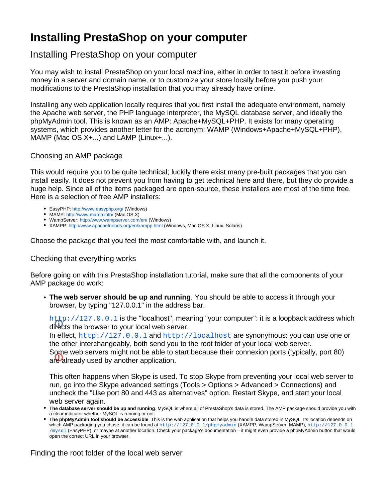# **Installing PrestaShop on your computer**

## Installing PrestaShop on your computer

You may wish to install PrestaShop on your local machine, either in order to test it before investing money in a server and domain name, or to customize your store locally before you push your modifications to the PrestaShop installation that you may already have online.

Installing any web application locally requires that you first install the adequate environment, namely the Apache web server, the PHP language interpreter, the MySQL database server, and ideally the phpMyAdmin tool. This is known as an AMP: Apache+MySQL+PHP. It exists for many operating systems, which provides another letter for the acronym: WAMP (Windows+Apache+MySQL+PHP), MAMP (Mac OS X+...) and LAMP (Linux+...).

#### Choosing an AMP package

This would require you to be quite technical; luckily there exist many pre-built packages that you can install easily. It does not prevent you from having to get technical here and there, but they do provide a huge help. Since all of the items packaged are open-source, these installers are most of the time free. Here is a selection of free AMP installers:

- EasyPHP:<http://www.easyphp.org/>(Windows)
- MAMP: <http://www.mamp.info/>(Mac OS X)
- WampServer: <http://www.wampserver.com/en/>(Windows)
- XAMPP:<http://www.apachefriends.org/en/xampp.html>(Windows, Mac OS X, Linux, Solaris)

Choose the package that you feel the most comfortable with, and launch it.

### Checking that everything works

Before going on with this PrestaShop installation tutorial, make sure that all the components of your AMP package do work:

**The web server should be up and running**. You should be able to access it through your browser, by typing "127.0.0.1" in the address bar.

[http://127.0.0.1](http://127.0.0.1/) is the "localhost", meaning "your computer": it is a loopback address which directs the browser to your local web server.

In effect, [http://127.0.0.1](http://127.0.0.1/) and [http://localhost](http://localhost/) are synonymous: you can use one or the other interchangeably, both send you to the root folder of your local web server. Some web servers might not be able to start because their connexion ports (typically, port 80) are already used by another application.

This often happens when Skype is used. To stop Skype from preventing your local web server to run, go into the Skype advanced settings (Tools > Options > Advanced > Connections) and uncheck the "Use port 80 and 443 as alternatives" option. Restart Skype, and start your local web server again.

- **The database server should be up and running**. MySQL is where all of PrestaShop's data is stored. The AMP package should provide you with a clear indicator whether MySQL is running or not.
- **The phpMyAdmin tool should be accessible**. This is the web application that helps you handle data stored in MySQL. Its location depends on which AMP packaging you chose: it can be found at <http://127.0.0.1/phpmyadmin> (XAMPP, WampServer, MAMP), [http://127.0.0.1](http://127.0.0.1/mysql) [/mysql](http://127.0.0.1/mysql) (EasyPHP), or maybe at another location. Check your package's documentation – it might even provide a phpMyAdmin button that would open the correct URL in your browser.

Finding the root folder of the local web server